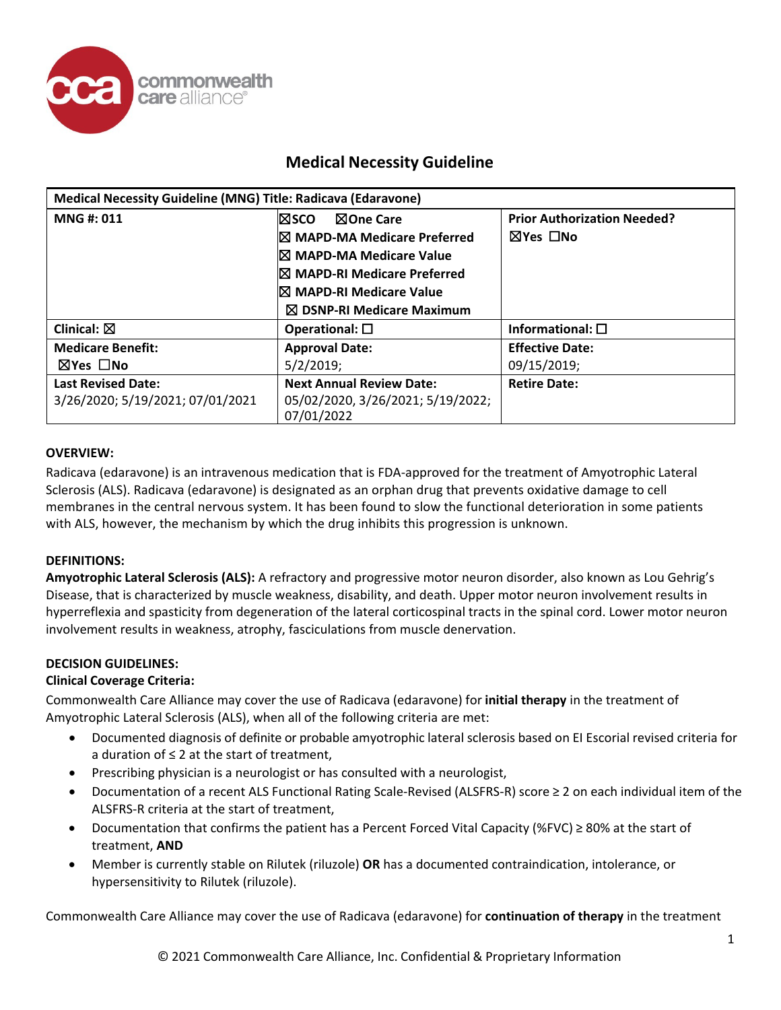

| Medical Necessity Guideline (MNG) Title: Radicava (Edaravone) |                                      |                                    |
|---------------------------------------------------------------|--------------------------------------|------------------------------------|
| MNG#: 011                                                     | l⊠sco.<br><b>NOne Care</b>           | <b>Prior Authorization Needed?</b> |
|                                                               | I⊠ MAPD-MA Medicare Preferred        | ⊠Yes □No                           |
|                                                               | I⊠ MAPD-MA Medicare Value            |                                    |
|                                                               | IX MAPD-RI Medicare Preferred        |                                    |
|                                                               | I⊠ MAPD-RI Medicare Value            |                                    |
|                                                               | $\boxtimes$ DSNP-RI Medicare Maximum |                                    |
| Clinical: $\boxtimes$                                         | Operational: $\square$               | Informational: $\square$           |
| <b>Medicare Benefit:</b>                                      | <b>Approval Date:</b>                | <b>Effective Date:</b>             |
| ⊠Yes □No                                                      | $5/2/2019$ ;                         | 09/15/2019;                        |
| <b>Last Revised Date:</b>                                     | <b>Next Annual Review Date:</b>      | <b>Retire Date:</b>                |
| 3/26/2020; 5/19/2021; 07/01/2021                              | 05/02/2020, 3/26/2021; 5/19/2022;    |                                    |
|                                                               | 07/01/2022                           |                                    |

### **OVERVIEW:**

Radicava (edaravone) is an intravenous medication that is FDA-approved for the treatment of Amyotrophic Lateral Sclerosis (ALS). Radicava (edaravone) is designated as an orphan drug that prevents oxidative damage to cell membranes in the central nervous system. It has been found to slow the functional deterioration in some patients with ALS, however, the mechanism by which the drug inhibits this progression is unknown.

### **DEFINITIONS:**

**Amyotrophic Lateral Sclerosis (ALS):** A refractory and progressive motor neuron disorder, also known as Lou Gehrig's Disease, that is characterized by muscle weakness, disability, and death. Upper motor neuron involvement results in hyperreflexia and spasticity from degeneration of the lateral corticospinal tracts in the spinal cord. Lower motor neuron involvement results in weakness, atrophy, fasciculations from muscle denervation.

#### **DECISION GUIDELINES:**

### **Clinical Coverage Criteria:**

Commonwealth Care Alliance may cover the use of Radicava (edaravone) for **initial therapy** in the treatment of Amyotrophic Lateral Sclerosis (ALS), when all of the following criteria are met:

- Documented diagnosis of definite or probable amyotrophic lateral sclerosis based on EI Escorial revised criteria for a duration of ≤ 2 at the start of treatment,
- Prescribing physician is a neurologist or has consulted with a neurologist,
- Documentation of a recent ALS Functional Rating Scale-Revised (ALSFRS-R) score ≥ 2 on each individual item of the ALSFRS-R criteria at the start of treatment,
- Documentation that confirms the patient has a Percent Forced Vital Capacity (%FVC) ≥ 80% at the start of treatment, **AND**
- Member is currently stable on Rilutek (riluzole) **OR** has a documented contraindication, intolerance, or hypersensitivity to Rilutek (riluzole).

Commonwealth Care Alliance may cover the use of Radicava (edaravone) for **continuation of therapy** in the treatment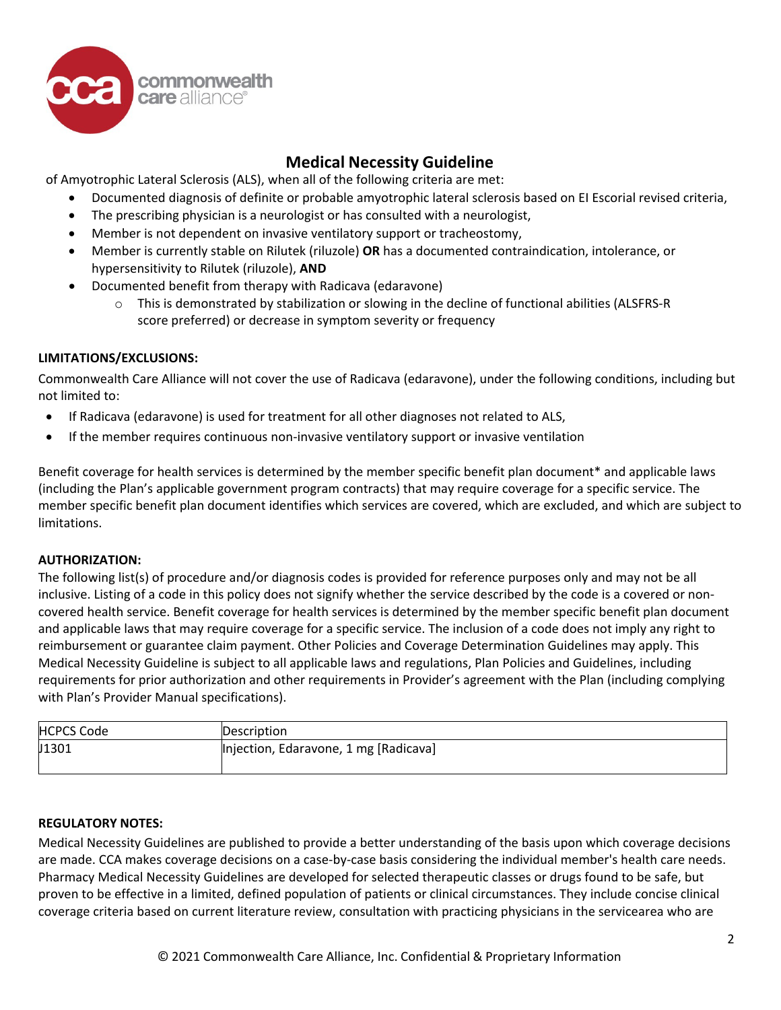

of Amyotrophic Lateral Sclerosis (ALS), when all of the following criteria are met:

- Documented diagnosis of definite or probable amyotrophic lateral sclerosis based on EI Escorial revised criteria,
- The prescribing physician is a neurologist or has consulted with a neurologist,
- Member is not dependent on invasive ventilatory support or tracheostomy,
- Member is currently stable on Rilutek (riluzole) **OR** has a documented contraindication, intolerance, or hypersensitivity to Rilutek (riluzole), **AND**
- Documented benefit from therapy with Radicava (edaravone)
	- $\circ$  This is demonstrated by stabilization or slowing in the decline of functional abilities (ALSFRS-R) score preferred) or decrease in symptom severity or frequency

### **LIMITATIONS/EXCLUSIONS:**

Commonwealth Care Alliance will not cover the use of Radicava (edaravone), under the following conditions, including but not limited to:

- If Radicava (edaravone) is used for treatment for all other diagnoses not related to ALS,
- If the member requires continuous non-invasive ventilatory support or invasive ventilation

Benefit coverage for health services is determined by the member specific benefit plan document\* and applicable laws (including the Plan's applicable government program contracts) that may require coverage for a specific service. The member specific benefit plan document identifies which services are covered, which are excluded, and which are subject to limitations.

### **AUTHORIZATION:**

The following list(s) of procedure and/or diagnosis codes is provided for reference purposes only and may not be all inclusive. Listing of a code in this policy does not signify whether the service described by the code is a covered or noncovered health service. Benefit coverage for health services is determined by the member specific benefit plan document and applicable laws that may require coverage for a specific service. The inclusion of a code does not imply any right to reimbursement or guarantee claim payment. Other Policies and Coverage Determination Guidelines may apply. This Medical Necessity Guideline is subject to all applicable laws and regulations, Plan Policies and Guidelines, including requirements for prior authorization and other requirements in Provider's agreement with the Plan (including complying with Plan's Provider Manual specifications).

| Description                           |
|---------------------------------------|
| Injection, Edaravone, 1 mg [Radicava] |
|                                       |

### **REGULATORY NOTES:**

Medical Necessity Guidelines are published to provide a better understanding of the basis upon which coverage decisions are made. CCA makes coverage decisions on a case-by-case basis considering the individual member's health care needs. Pharmacy Medical Necessity Guidelines are developed for selected therapeutic classes or drugs found to be safe, but proven to be effective in a limited, defined population of patients or clinical circumstances. They include concise clinical coverage criteria based on current literature review, consultation with practicing physicians in the servicearea who are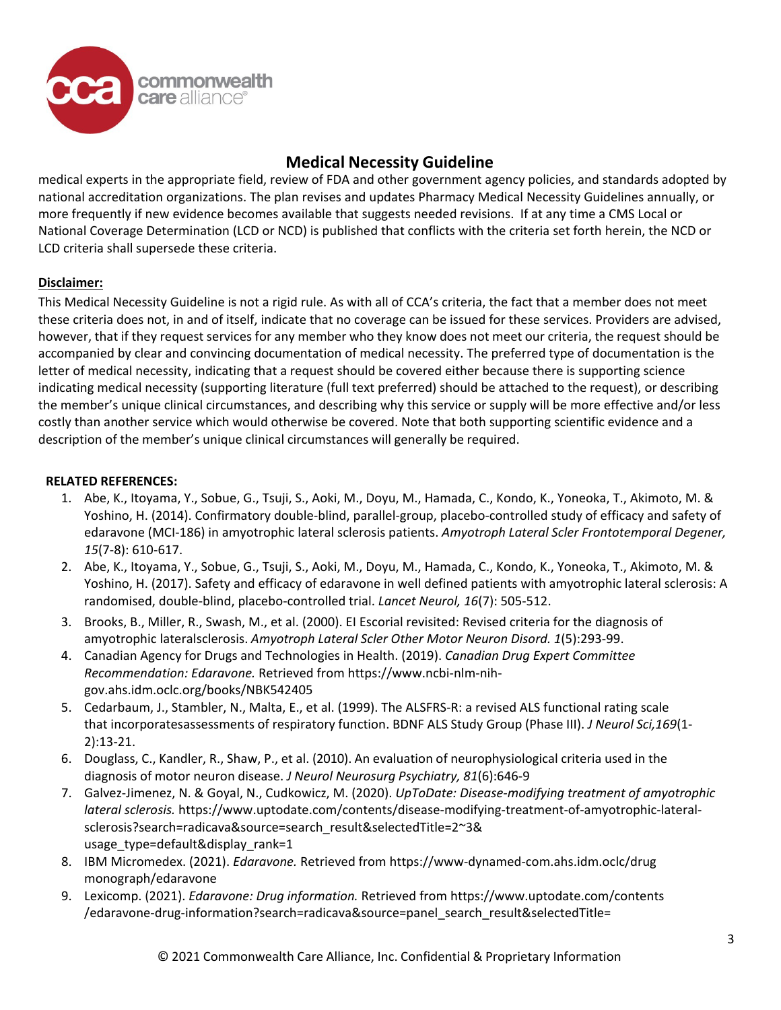

medical experts in the appropriate field, review of FDA and other government agency policies, and standards adopted by national accreditation organizations. The plan revises and updates Pharmacy Medical Necessity Guidelines annually, or more frequently if new evidence becomes available that suggests needed revisions. If at any time a CMS Local or National Coverage Determination (LCD or NCD) is published that conflicts with the criteria set forth herein, the NCD or LCD criteria shall supersede these criteria.

### **Disclaimer:**

This Medical Necessity Guideline is not a rigid rule. As with all of CCA's criteria, the fact that a member does not meet these criteria does not, in and of itself, indicate that no coverage can be issued for these services. Providers are advised, however, that if they request services for any member who they know does not meet our criteria, the request should be accompanied by clear and convincing documentation of medical necessity. The preferred type of documentation is the letter of medical necessity, indicating that a request should be covered either because there is supporting science indicating medical necessity (supporting literature (full text preferred) should be attached to the request), or describing the member's unique clinical circumstances, and describing why this service or supply will be more effective and/or less costly than another service which would otherwise be covered. Note that both supporting scientific evidence and a description of the member's unique clinical circumstances will generally be required.

### **RELATED REFERENCES:**

- 1. Abe, K., Itoyama, Y., Sobue, G., Tsuji, S., Aoki, M., Doyu, M., Hamada, C., Kondo, K., Yoneoka, T., Akimoto, M. & Yoshino, H. (2014). Confirmatory double-blind, parallel-group, placebo-controlled study of efficacy and safety of edaravone (MCI-186) in amyotrophic lateral sclerosis patients. *Amyotroph Lateral Scler Frontotemporal Degener, 15*(7-8): 610-617.
- 2. Abe, K., Itoyama, Y., Sobue, G., Tsuji, S., Aoki, M., Doyu, M., Hamada, C., Kondo, K., Yoneoka, T., Akimoto, M. & Yoshino, H. (2017). Safety and efficacy of edaravone in well defined patients with amyotrophic lateral sclerosis: A randomised, double-blind, placebo-controlled trial. *Lancet Neurol, 16*(7): 505-512.
- 3. Brooks, B., Miller, R., Swash, M., et al. (2000). EI Escorial revisited: Revised criteria for the diagnosis of amyotrophic lateralsclerosis. *Amyotroph Lateral Scler Other Motor Neuron Disord. 1*(5):293-99.
- 4. Canadian Agency for Drugs and Technologies in Health. (2019). *Canadian Drug Expert Committee Recommendation: Edaravone.* Retrieved from https://www.ncbi-nlm-nihgov.ahs.idm.oclc.org/books/NBK542405
- 5. Cedarbaum, J., Stambler, N., Malta, E., et al. (1999). The ALSFRS-R: a revised ALS functional rating scale that incorporatesassessments of respiratory function. BDNF ALS Study Group (Phase III). *J Neurol Sci,169*(1- 2):13-21.
- 6. Douglass, C., Kandler, R., Shaw, P., et al. (2010). An evaluation of neurophysiological criteria used in the diagnosis of motor neuron disease. *J Neurol Neurosurg Psychiatry, 81*(6):646-9
- 7. Galvez-Jimenez, N. & Goyal, N., Cudkowicz, M. (2020). *UpToDate: Disease-modifying treatment of amyotrophic lateral sclerosis.* https://www.uptodate.com/contents/disease-modifying-treatment-of-amyotrophic-lateralsclerosis?search=radicava&source=search\_result&selectedTitle=2~3& usage type=default&display rank=1
- 8. IBM Micromedex. (2021). *Edaravone.* Retrieved from https://www-dynamed-com.ahs.idm.oclc/drug monograph/edaravone
- 9. Lexicomp. (2021). *Edaravone: Drug information.* Retrieved from https://www.uptodate.com/contents /edaravone-drug-information?search=radicava&source=panel\_search\_result&selectedTitle=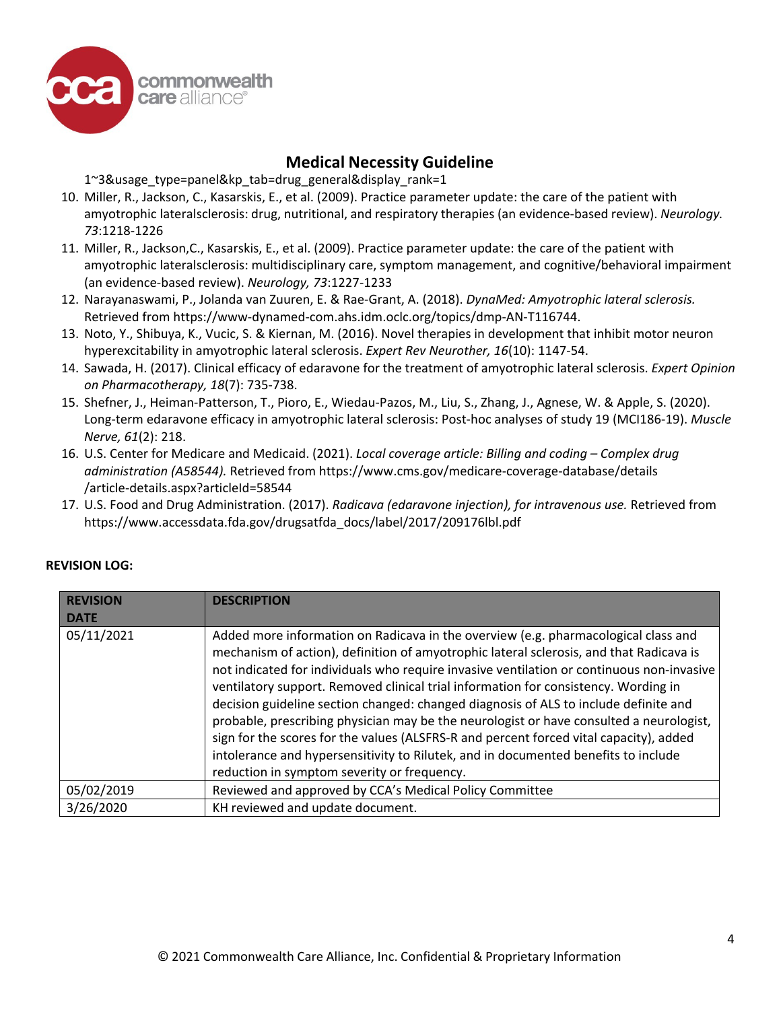

1~3&usage\_type=panel&kp\_tab=drug\_general&display\_rank=1

- 10. Miller, R., Jackson, C., Kasarskis, E., et al. (2009). Practice parameter update: the care of the patient with amyotrophic lateralsclerosis: drug, nutritional, and respiratory therapies (an evidence-based review). *Neurology. 73*:1218-1226
- 11. Miller, R., Jackson,C., Kasarskis, E., et al. (2009). Practice parameter update: the care of the patient with amyotrophic lateralsclerosis: multidisciplinary care, symptom management, and cognitive/behavioral impairment (an evidence-based review). *Neurology, 73*:1227-1233
- 12. Narayanaswami, P., Jolanda van Zuuren, E. & Rae-Grant, A. (2018). *DynaMed: Amyotrophic lateral sclerosis.* Retrieved from https://www-dynamed-com.ahs.idm.oclc.org/topics/dmp-AN-T116744.
- 13. Noto, Y., Shibuya, K., Vucic, S. & Kiernan, M. (2016). Novel therapies in development that inhibit motor neuron hyperexcitability in amyotrophic lateral sclerosis. *Expert Rev Neurother, 16*(10): 1147-54.
- 14. Sawada, H. (2017). Clinical efficacy of edaravone for the treatment of amyotrophic lateral sclerosis. *Expert Opinion on Pharmacotherapy, 18*(7): 735-738.
- 15. Shefner, J., Heiman-Patterson, T., Pioro, E., Wiedau-Pazos, M., Liu, S., Zhang, J., Agnese, W. & Apple, S. (2020). Long-term edaravone efficacy in amyotrophic lateral sclerosis: Post-hoc analyses of study 19 (MCI186-19). *Muscle Nerve, 61*(2): 218.
- 16. U.S. Center for Medicare and Medicaid. (2021). *Local coverage article: Billing and coding – Complex drug administration (A58544).* Retrieved from https://www.cms.gov/medicare-coverage-database/details /article-details.aspx?articleId=58544
- 17. U.S. Food and Drug Administration. (2017). *Radicava (edaravone injection), for intravenous use.* Retrieved from https://www.accessdata.fda.gov/drugsatfda\_docs/label/2017/209176lbl.pdf

| <b>REVISION</b><br><b>DATE</b> | <b>DESCRIPTION</b>                                                                                                                                                                                                                                                                                                                                                                                                                                                                                                                                                                                                                                                                                                                                                                  |
|--------------------------------|-------------------------------------------------------------------------------------------------------------------------------------------------------------------------------------------------------------------------------------------------------------------------------------------------------------------------------------------------------------------------------------------------------------------------------------------------------------------------------------------------------------------------------------------------------------------------------------------------------------------------------------------------------------------------------------------------------------------------------------------------------------------------------------|
| 05/11/2021                     | Added more information on Radicava in the overview (e.g. pharmacological class and<br>mechanism of action), definition of amyotrophic lateral sclerosis, and that Radicava is<br>not indicated for individuals who require invasive ventilation or continuous non-invasive<br>ventilatory support. Removed clinical trial information for consistency. Wording in<br>decision guideline section changed: changed diagnosis of ALS to include definite and<br>probable, prescribing physician may be the neurologist or have consulted a neurologist,<br>sign for the scores for the values (ALSFRS-R and percent forced vital capacity), added<br>intolerance and hypersensitivity to Rilutek, and in documented benefits to include<br>reduction in symptom severity or frequency. |
| 05/02/2019                     | Reviewed and approved by CCA's Medical Policy Committee                                                                                                                                                                                                                                                                                                                                                                                                                                                                                                                                                                                                                                                                                                                             |
| 3/26/2020                      | KH reviewed and update document.                                                                                                                                                                                                                                                                                                                                                                                                                                                                                                                                                                                                                                                                                                                                                    |

### **REVISION LOG:**